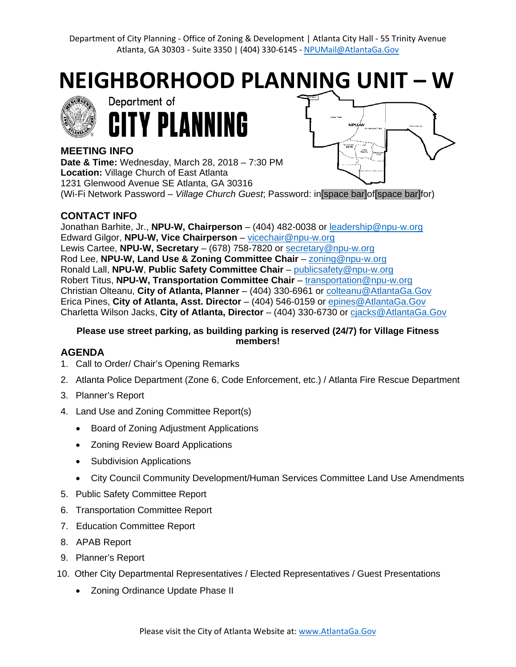Department of City Planning - [Office of Zoning & Development | Atlanta City Hall -](https://www.atlantaga.gov/government/departments/planning-community-development) 55 Trinity Avenue Atlanta, GA 30303 - [Suite 3350 | \(404\)](https://www.atlantaga.gov/government/departments/planning-community-development) 330-6145 - [NPUMail@AtlantaGa.Gov](mailto:NPUMail@AtlantaGa.Gov)

**NEIGHBORHOOD PLANNING UNIT – W**





# **NDLI** State

## **MEETING INFO**

**Date & Time:** Wednesday, March 28, 2018 – 7:30 PM **Location:** Village Church of East Atlanta 1231 Glenwood Avenue SE Atlanta, GA 30316 (Wi-Fi Network Password – *Village Church Guest*; Password: in[space bar]of[space bar]for)

# **CONTACT INFO**

Jonathan Barhite, Jr., **NPU-W, Chairperson** – (404) 482-0038 or [leadership@npu-w.org](mailto:leadership@npu-w.org) Edward Gilgor, **NPU-W, Vice Chairperson** – [vicechair@npu-w.org](mailto:vicechair@npu-w.org) Lewis Cartee, **NPU-W, Secretary** – (678) 758-7820 or [secretary@npu-w.org](mailto:secretary@npu-w.org) Rod Lee, **NPU-W, Land Use & Zoning Committee Chair** – [zoning@npu-w.org](mailto:zoning@npu-w.org) Ronald Lall, **NPU-W**, **Public Safety Committee Chair** – [publicsafety@npu-w.org](mailto:publicsafety@npu-w.org) Robert Titus, **NPU-W, Transportation Committee Chair** – [transportation@npu-w.org](mailto:transportation@npu-w.org) Christian Olteanu, **City of Atlanta, Planner** – (404) 330-6961 or [colteanu@AtlantaGa.Gov](mailto:colteanu@AtlantaGa.Gov) Erica Pines, **City of Atlanta, Asst. Director** – (404) 546-0159 or [epines@AtlantaGa.Gov](mailto:epines@AtlantaGa.Gov) Charletta Wilson Jacks, **City of Atlanta, Director** – (404) 330-6730 or [cjacks@AtlantaGa.Gov](mailto:cjacks@AtlantaGa.Gov)

#### **Please use street parking, as building parking is reserved (24/7) for Village Fitness members!**

# **AGENDA**

- 1. Call to Order/ Chair's Opening Remarks
- 2. Atlanta Police Department (Zone 6, Code Enforcement, etc.) / Atlanta Fire Rescue Department
- 3. Planner's Report
- 4. Land Use and Zoning Committee Report(s)
	- Board of Zoning Adjustment Applications
	- Zoning Review Board Applications
	- Subdivision Applications
	- City Council Community Development/Human Services Committee Land Use Amendments
- 5. Public Safety Committee Report
- 6. Transportation Committee Report
- 7. Education Committee Report
- 8. APAB Report
- 9. Planner's Report
- 10. Other City Departmental Representatives / Elected Representatives / Guest Presentations
	- Zoning Ordinance Update Phase II